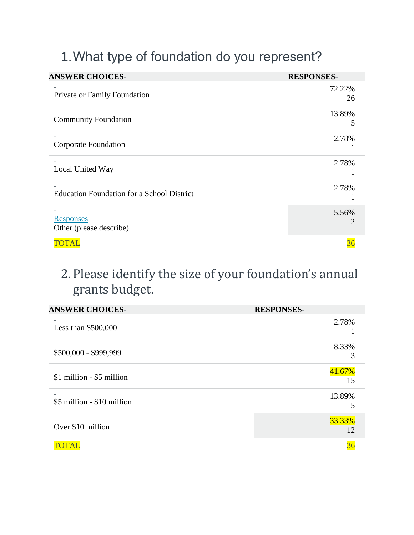# 1.What type of foundation do you represent?

| <b>ANSWER CHOICES-</b>                            | <b>RESPONSES-</b> |
|---------------------------------------------------|-------------------|
| Private or Family Foundation                      | 72.22%<br>26      |
| <b>Community Foundation</b>                       | 13.89%<br>5       |
| <b>Corporate Foundation</b>                       | 2.78%             |
| Local United Way                                  | 2.78%             |
| <b>Education Foundation for a School District</b> | 2.78%             |
| <b>Responses</b><br>Other (please describe)       | 5.56%             |
| TOTAL                                             |                   |

## 2. Please identify the size of your foundation's annual grants budget.

| <b>ANSWER CHOICES-</b>     | <b>RESPONSES-</b> |
|----------------------------|-------------------|
| Less than $$500,000$       | 2.78%             |
| \$500,000 - \$999,999      | 8.33%<br>3        |
| \$1 million - \$5 million  | 41.67%<br>15      |
| \$5 million - \$10 million | 13.89%            |
| Over \$10 million          | 33.33%<br>12      |
|                            | 36                |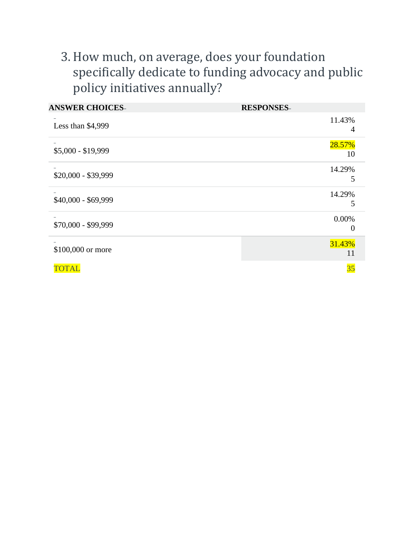## 3.How much, on average, does your foundation specifically dedicate to funding advocacy and public policy initiatives annually?

| <b>ANSWER CHOICES-</b> | <b>RESPONSES-</b>        |
|------------------------|--------------------------|
| Less than \$4,999      | 11.43%<br>$\overline{4}$ |
| $$5,000 - $19,999$     | 28.57%<br>10             |
| $$20,000 - $39,999$    | 14.29%<br>5              |
| \$40,000 - \$69,999    | 14.29%<br>5              |
| \$70,000 - \$99,999    | 0.00%                    |
| \$100,000 or more      | 31.43%<br>11             |
| <b>TOTAL</b>           | 35                       |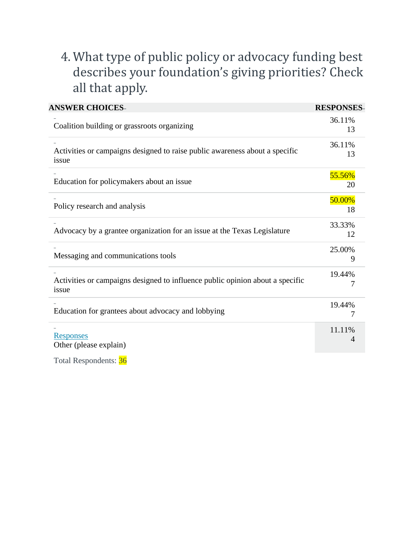## 4. What type of public policy or advocacy funding best describes your foundation's giving priorities? Check all that apply.

| <b>ANSWER CHOICES-</b>                                                                 | <b>RESPONSES</b> |
|----------------------------------------------------------------------------------------|------------------|
| Coalition building or grassroots organizing                                            | 36.11%<br>13     |
| Activities or campaigns designed to raise public awareness about a specific<br>issue   | 36.11%<br>13     |
| Education for policymakers about an issue                                              | 55.56%<br>20     |
| Policy research and analysis                                                           | 50.00%<br>18     |
| Advocacy by a grantee organization for an issue at the Texas Legislature               | 33.33%<br>12     |
| Messaging and communications tools                                                     | 25.00%<br>9      |
| Activities or campaigns designed to influence public opinion about a specific<br>issue | 19.44%           |
| Education for grantees about advocacy and lobbying                                     | 19.44%<br>7      |
| <b>Responses</b><br>Other (please explain)                                             | 11.11%<br>4      |

Total Respondents: 36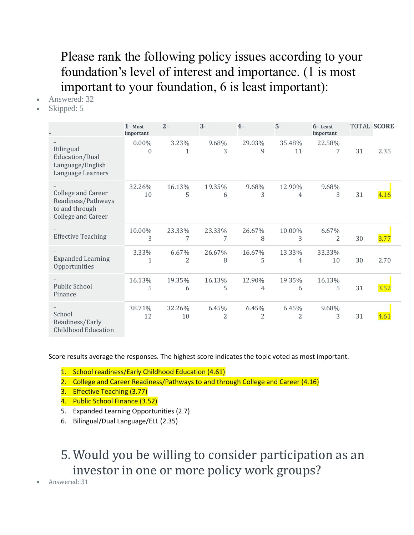### Please rank the following policy issues according to your foundation's level of interest and importance. (1 is most important to your foundation, 6 is least important):

- Answered: 32
- Skipped: 5

|                                                                                         | $1 - Most$<br>important  | $2 -$                   | $3 -$                   | $4-$                    | $5 -$        | $6 -$ Least<br>important |    | TOTAL-SCORE- |
|-----------------------------------------------------------------------------------------|--------------------------|-------------------------|-------------------------|-------------------------|--------------|--------------------------|----|--------------|
| Bilingual<br>Education/Dual<br>Language/English<br>Language Learners                    | $0.00\%$<br>$\mathbf{0}$ | 3.23%<br>1              | 9.68%<br>3              | 29.03%<br>9             | 35.48%<br>11 | 22.58%<br>7              | 31 | 2.35         |
| <b>College and Career</b><br>Readiness/Pathways<br>to and through<br>College and Career | 32.26%<br>10             | 16.13%<br>5             | 19.35%<br>6             | 9.68%<br>3              | 12.90%<br>4  | 9.68%<br>3               | 31 | 4.16         |
| <b>Effective Teaching</b>                                                               | 10.00%<br>3              | 23.33%<br>7             | 23.33%<br>7             | 26.67%<br>8             | 10.00%<br>3  | 6.67%<br>$\overline{2}$  | 30 | <b>3.77</b>  |
| <b>Expanded Learning</b><br>Opportunities                                               | 3.33%<br>$\mathbf{1}$    | 6.67%<br>$\overline{2}$ | 26.67%<br>8             | 16.67%<br>5             | 13.33%<br>4  | 33.33%<br>10             | 30 | 2.70         |
| Public School<br>Finance                                                                | 16.13%<br>5              | 19.35%<br>6             | 16.13%<br>5             | 12.90%<br>4             | 19.35%<br>6  | 16.13%<br>5              | 31 | 3.52         |
| School<br>Readiness/Early<br><b>Childhood Education</b>                                 | 38.71%<br>12             | 32.26%<br>10            | 6.45%<br>$\overline{c}$ | 6.45%<br>$\overline{2}$ | 6.45%<br>2   | 9.68%<br>3               | 31 |              |

Score results average the responses. The highest score indicates the topic voted as most important.

- 1. School readiness/Early Childhood Education (4.61)
- 2. College and Career Readiness/Pathways to and through College and Career (4.16)
- 3. Effective Teaching (3.77)
- 4. Public School Finance (3.52)
- 5. Expanded Learning Opportunities (2.7)
- 6. Bilingual/Dual Language/ELL (2.35)

#### 5. Would you be willing to consider participation as an investor in one or more policy work groups?

• Answered: 31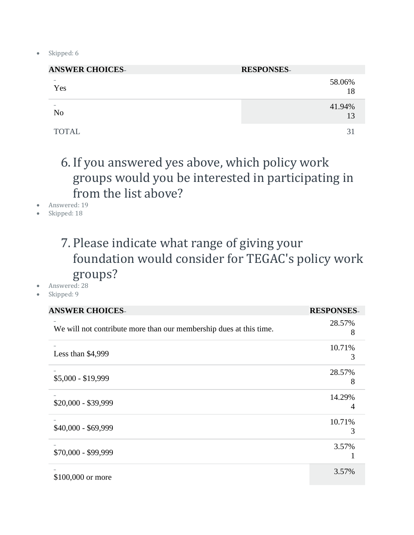• Skipped: 6

| <b>ANSWER CHOICES-</b> | <b>RESPONSES-</b> |
|------------------------|-------------------|
| Yes                    | 58.06%<br>18      |
| N <sub>o</sub>         | 41.94%<br>13      |
| <b>TOTAL</b>           | 31                |

## 6. If you answered yes above, which policy work groups would you be interested in participating in from the list above?

- Answered: 19
- Skipped: 18

#### 7. Please indicate what range of giving your foundation would consider for TEGAC's policy work groups?

- Answered: 28
- Skipped: 9

| <b>ANSWER CHOICES-</b>                                             | <b>RESPONSES-</b> |
|--------------------------------------------------------------------|-------------------|
| We will not contribute more than our membership dues at this time. | 28.57%<br>8       |
| Less than $$4,999$                                                 | 10.71%<br>3       |
| $$5,000 - $19,999$                                                 | 28.57%<br>8       |
| $$20,000 - $39,999$                                                | 14.29%            |
| \$40,000 - \$69,999                                                | 10.71%<br>3       |
| \$70,000 - \$99,999                                                | 3.57%             |
| \$100,000 or more                                                  | 3.57%             |